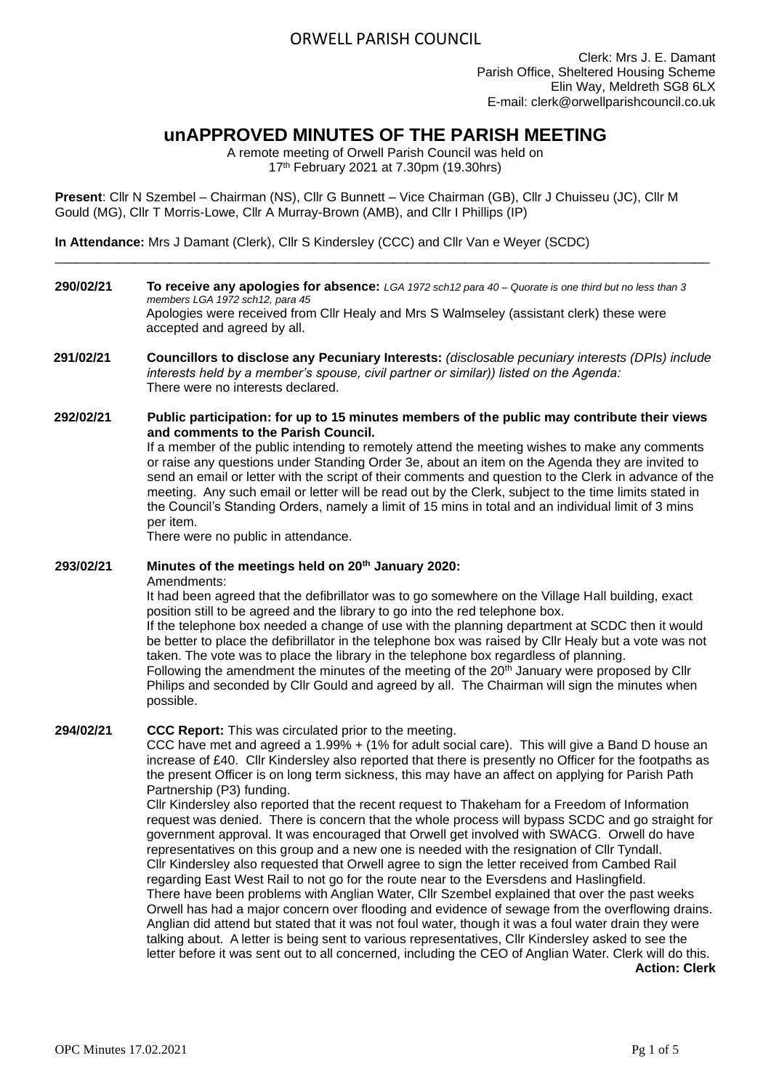# ORWELL PARISH COUNCIL

# **unAPPROVED MINUTES OF THE PARISH MEETING**

A remote meeting of Orwell Parish Council was held on 17th February 2021 at 7.30pm (19.30hrs)

**Present**: Cllr N Szembel – Chairman (NS), Cllr G Bunnett – Vice Chairman (GB), Cllr J Chuisseu (JC), Cllr M Gould (MG), Cllr T Morris-Lowe, Cllr A Murray-Brown (AMB), and Cllr I Phillips (IP)

**In Attendance:** Mrs J Damant (Clerk), Cllr S Kindersley (CCC) and Cllr Van e Weyer (SCDC)

**290/02/21 To receive any apologies for absence:** *LGA 1972 sch12 para 40 – Quorate is one third but no less than 3 members LGA 1972 sch12, para 45* Apologies were received from Cllr Healy and Mrs S Walmseley (assistant clerk) these were accepted and agreed by all.

\_\_\_\_\_\_\_\_\_\_\_\_\_\_\_\_\_\_\_\_\_\_\_\_\_\_\_\_\_\_\_\_\_\_\_\_\_\_\_\_\_\_\_\_\_\_\_\_\_\_\_\_\_\_\_\_\_\_\_\_\_\_\_\_\_\_\_\_\_\_\_\_\_\_\_\_\_\_\_\_\_\_\_\_\_\_\_\_\_\_\_

- **291/02/21 Councillors to disclose any Pecuniary Interests:** *(disclosable pecuniary interests (DPIs) include interests held by a member's spouse, civil partner or similar)) listed on the Agenda:* There were no interests declared.
- **292/02/21 Public participation: for up to 15 minutes members of the public may contribute their views and comments to the Parish Council.**

If a member of the public intending to remotely attend the meeting wishes to make any comments or raise any questions under Standing Order 3e, about an item on the Agenda they are invited to send an email or letter with the script of their comments and question to the Clerk in advance of the meeting. Any such email or letter will be read out by the Clerk, subject to the time limits stated in the Council's Standing Orders, namely a limit of 15 mins in total and an individual limit of 3 mins per item.

There were no public in attendance.

### **293/02/21 Minutes of the meetings held on 20th January 2020:**

Amendments:

It had been agreed that the defibrillator was to go somewhere on the Village Hall building, exact position still to be agreed and the library to go into the red telephone box.

If the telephone box needed a change of use with the planning department at SCDC then it would be better to place the defibrillator in the telephone box was raised by Cllr Healy but a vote was not taken. The vote was to place the library in the telephone box regardless of planning. Following the amendment the minutes of the meeting of the 20<sup>th</sup> January were proposed by Cllr Philips and seconded by Cllr Gould and agreed by all. The Chairman will sign the minutes when possible.

### **294/02/21 CCC Report:** This was circulated prior to the meeting.

CCC have met and agreed a 1.99% + (1% for adult social care). This will give a Band D house an increase of £40. Cllr Kindersley also reported that there is presently no Officer for the footpaths as the present Officer is on long term sickness, this may have an affect on applying for Parish Path Partnership (P3) funding.

Cllr Kindersley also reported that the recent request to Thakeham for a Freedom of Information request was denied. There is concern that the whole process will bypass SCDC and go straight for government approval. It was encouraged that Orwell get involved with SWACG. Orwell do have representatives on this group and a new one is needed with the resignation of Cllr Tyndall. Cllr Kindersley also requested that Orwell agree to sign the letter received from Cambed Rail regarding East West Rail to not go for the route near to the Eversdens and Haslingfield. There have been problems with Anglian Water, Cllr Szembel explained that over the past weeks Orwell has had a major concern over flooding and evidence of sewage from the overflowing drains. Anglian did attend but stated that it was not foul water, though it was a foul water drain they were talking about. A letter is being sent to various representatives, Cllr Kindersley asked to see the letter before it was sent out to all concerned, including the CEO of Anglian Water. Clerk will do this.

**Action: Clerk**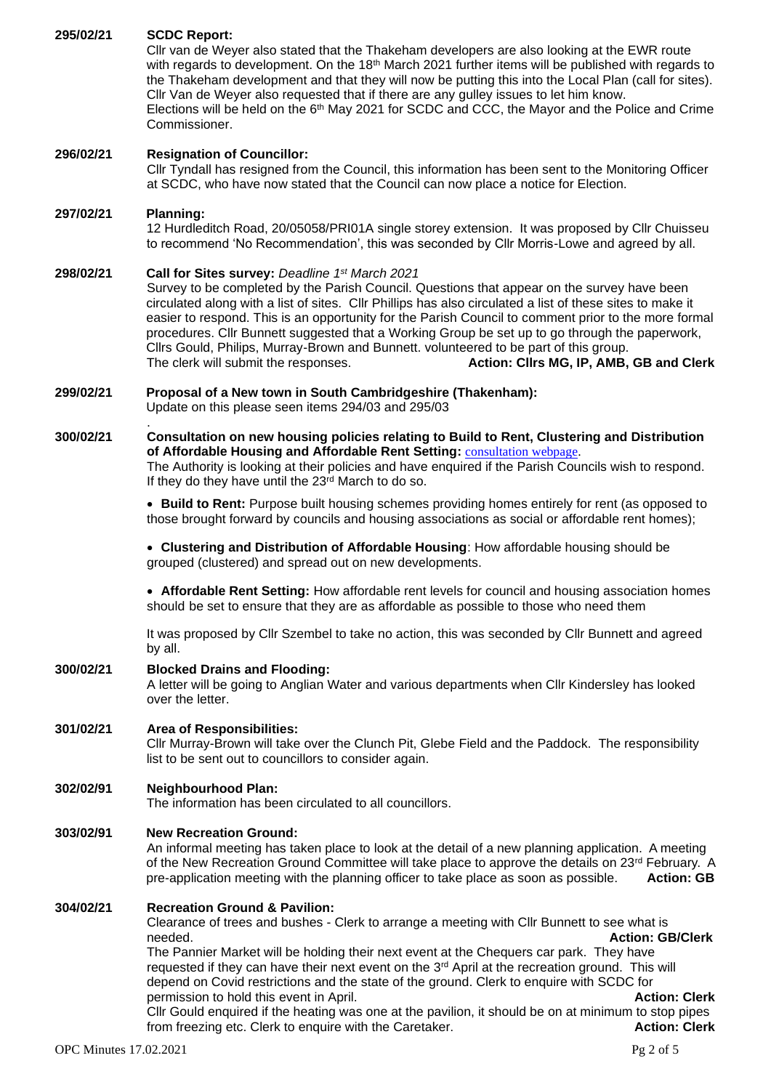| 295/02/21                                  | <b>SCDC Report:</b><br>Cllr van de Weyer also stated that the Thakeham developers are also looking at the EWR route<br>with regards to development. On the 18 <sup>th</sup> March 2021 further items will be published with regards to<br>the Thakeham development and that they will now be putting this into the Local Plan (call for sites).<br>Cllr Van de Weyer also requested that if there are any gulley issues to let him know.<br>Elections will be held on the $6th$ May 2021 for SCDC and CCC, the Mayor and the Police and Crime<br>Commissioner.                                                                                                          |                                                                                        |  |  |  |
|--------------------------------------------|-------------------------------------------------------------------------------------------------------------------------------------------------------------------------------------------------------------------------------------------------------------------------------------------------------------------------------------------------------------------------------------------------------------------------------------------------------------------------------------------------------------------------------------------------------------------------------------------------------------------------------------------------------------------------|----------------------------------------------------------------------------------------|--|--|--|
| 296/02/21                                  | <b>Resignation of Councillor:</b><br>CIIr Tyndall has resigned from the Council, this information has been sent to the Monitoring Officer<br>at SCDC, who have now stated that the Council can now place a notice for Election.                                                                                                                                                                                                                                                                                                                                                                                                                                         |                                                                                        |  |  |  |
| 297/02/21                                  | <b>Planning:</b><br>12 Hurdleditch Road, 20/05058/PRI01A single storey extension. It was proposed by Cllr Chuisseu<br>to recommend 'No Recommendation', this was seconded by Cllr Morris-Lowe and agreed by all.                                                                                                                                                                                                                                                                                                                                                                                                                                                        |                                                                                        |  |  |  |
| 298/02/21                                  | Call for Sites survey: Deadline 1st March 2021<br>Survey to be completed by the Parish Council. Questions that appear on the survey have been<br>circulated along with a list of sites. Cllr Phillips has also circulated a list of these sites to make it<br>easier to respond. This is an opportunity for the Parish Council to comment prior to the more formal<br>procedures. Cllr Bunnett suggested that a Working Group be set up to go through the paperwork,<br>Cllrs Gould, Philips, Murray-Brown and Bunnett. volunteered to be part of this group.<br>Action: Cllrs MG, IP, AMB, GB and Clerk<br>The clerk will submit the responses.                        |                                                                                        |  |  |  |
| 299/02/21                                  | Proposal of a New town in South Cambridgeshire (Thakenham):<br>Update on this please seen items 294/03 and 295/03                                                                                                                                                                                                                                                                                                                                                                                                                                                                                                                                                       |                                                                                        |  |  |  |
| 300/02/21                                  | Consultation on new housing policies relating to Build to Rent, Clustering and Distribution<br>of Affordable Housing and Affordable Rent Setting: <b>consultation webpage</b> .<br>The Authority is looking at their policies and have enquired if the Parish Councils wish to respond.<br>If they do they have until the 23rd March to do so.                                                                                                                                                                                                                                                                                                                          |                                                                                        |  |  |  |
|                                            | • Build to Rent: Purpose built housing schemes providing homes entirely for rent (as opposed to<br>those brought forward by councils and housing associations as social or affordable rent homes);                                                                                                                                                                                                                                                                                                                                                                                                                                                                      |                                                                                        |  |  |  |
|                                            | • Clustering and Distribution of Affordable Housing: How affordable housing should be<br>grouped (clustered) and spread out on new developments.                                                                                                                                                                                                                                                                                                                                                                                                                                                                                                                        |                                                                                        |  |  |  |
|                                            | • Affordable Rent Setting: How affordable rent levels for council and housing association homes<br>should be set to ensure that they are as affordable as possible to those who need them                                                                                                                                                                                                                                                                                                                                                                                                                                                                               |                                                                                        |  |  |  |
|                                            | It was proposed by Cllr Szembel to take no action, this was seconded by Cllr Bunnett and agreed<br>by all.                                                                                                                                                                                                                                                                                                                                                                                                                                                                                                                                                              |                                                                                        |  |  |  |
| 300/02/21                                  | <b>Blocked Drains and Flooding:</b><br>A letter will be going to Anglian Water and various departments when Cllr Kindersley has looked<br>over the letter.                                                                                                                                                                                                                                                                                                                                                                                                                                                                                                              |                                                                                        |  |  |  |
| 301/02/21                                  | <b>Area of Responsibilities:</b><br>Cllr Murray-Brown will take over the Clunch Pit, Glebe Field and the Paddock. The responsibility<br>list to be sent out to councillors to consider again.                                                                                                                                                                                                                                                                                                                                                                                                                                                                           |                                                                                        |  |  |  |
| 302/02/91                                  | <b>Neighbourhood Plan:</b><br>The information has been circulated to all councillors.                                                                                                                                                                                                                                                                                                                                                                                                                                                                                                                                                                                   |                                                                                        |  |  |  |
| 303/02/91                                  | <b>New Recreation Ground:</b><br>An informal meeting has taken place to look at the detail of a new planning application. A meeting<br>of the New Recreation Ground Committee will take place to approve the details on 23 <sup>rd</sup> February. A<br>pre-application meeting with the planning officer to take place as soon as possible.<br><b>Action: GB</b>                                                                                                                                                                                                                                                                                                       |                                                                                        |  |  |  |
| 304/02/21<br><b>OPC Minutes 17.02.2021</b> | <b>Recreation Ground &amp; Pavilion:</b><br>Clearance of trees and bushes - Clerk to arrange a meeting with Cllr Bunnett to see what is<br>needed.<br>The Pannier Market will be holding their next event at the Chequers car park. They have<br>requested if they can have their next event on the 3 <sup>rd</sup> April at the recreation ground. This will<br>depend on Covid restrictions and the state of the ground. Clerk to enquire with SCDC for<br>permission to hold this event in April.<br>CIIr Gould enquired if the heating was one at the pavilion, it should be on at minimum to stop pipes<br>from freezing etc. Clerk to enquire with the Caretaker. | <b>Action: GB/Clerk</b><br><b>Action: Clerk</b><br><b>Action: Clerk</b><br>$Pg$ 2 of 5 |  |  |  |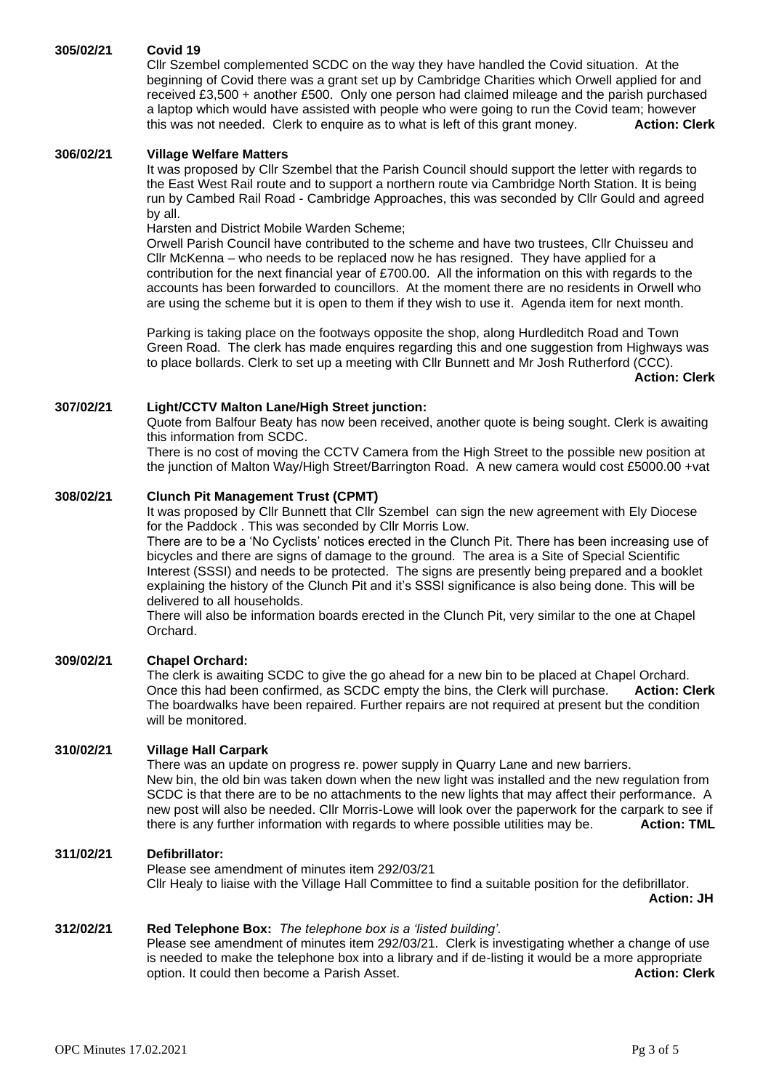### **305/02/21 Covid 19**

Cllr Szembel complemented SCDC on the way they have handled the Covid situation. At the beginning of Covid there was a grant set up by Cambridge Charities which Orwell applied for and received £3,500 + another £500. Only one person had claimed mileage and the parish purchased a laptop which would have assisted with people who were going to run the Covid team; however this was not needed. Clerk to enquire as to what is left of this grant money. **Action: Clerk**

### **306/02/21 Village Welfare Matters**

It was proposed by Cllr Szembel that the Parish Council should support the letter with regards to the East West Rail route and to support a northern route via Cambridge North Station. It is being run by Cambed Rail Road - Cambridge Approaches, this was seconded by Cllr Gould and agreed by all.

Harsten and District Mobile Warden Scheme;

Orwell Parish Council have contributed to the scheme and have two trustees, Cllr Chuisseu and Cllr McKenna – who needs to be replaced now he has resigned. They have applied for a contribution for the next financial year of £700.00. All the information on this with regards to the accounts has been forwarded to councillors. At the moment there are no residents in Orwell who are using the scheme but it is open to them if they wish to use it. Agenda item for next month.

Parking is taking place on the footways opposite the shop, along Hurdleditch Road and Town Green Road. The clerk has made enquires regarding this and one suggestion from Highways was to place bollards. Clerk to set up a meeting with Cllr Bunnett and Mr Josh Rutherford (CCC).

**Action: Clerk**

## **307/02/21 Light/CCTV Malton Lane/High Street junction:**

Quote from Balfour Beaty has now been received, another quote is being sought. Clerk is awaiting this information from SCDC.

There is no cost of moving the CCTV Camera from the High Street to the possible new position at the junction of Malton Way/High Street/Barrington Road. A new camera would cost £5000.00 +vat

## **308/02/21 Clunch Pit Management Trust (CPMT)**

It was proposed by Cllr Bunnett that Cllr Szembel can sign the new agreement with Ely Diocese for the Paddock . This was seconded by Cllr Morris Low.

There are to be a 'No Cyclists' notices erected in the Clunch Pit. There has been increasing use of bicycles and there are signs of damage to the ground. The area is a Site of Special Scientific Interest (SSSI) and needs to be protected. The signs are presently being prepared and a booklet explaining the history of the Clunch Pit and it's SSSI significance is also being done. This will be delivered to all households.

There will also be information boards erected in the Clunch Pit, very similar to the one at Chapel Orchard.

## **309/02/21 Chapel Orchard:**

The clerk is awaiting SCDC to give the go ahead for a new bin to be placed at Chapel Orchard. Once this had been confirmed, as SCDC empty the bins, the Clerk will purchase. **Action: Clerk** The boardwalks have been repaired. Further repairs are not required at present but the condition will be monitored.

### **310/02/21 Village Hall Carpark**

There was an update on progress re. power supply in Quarry Lane and new barriers. New bin, the old bin was taken down when the new light was installed and the new regulation from SCDC is that there are to be no attachments to the new lights that may affect their performance. A new post will also be needed. Cllr Morris-Lowe will look over the paperwork for the carpark to see if there is any further information with regards to where possible utilities may be. **Action: TML**

### **311/02/21 Defibrillator:**

Please see amendment of minutes item 292/03/21 Cllr Healy to liaise with the Village Hall Committee to find a suitable position for the defibrillator. **Action: JH**

**312/02/21 Red Telephone Box:** *The telephone box is a 'listed building'.*

Please see amendment of minutes item 292/03/21. Clerk is investigating whether a change of use is needed to make the telephone box into a library and if de-listing it would be a more appropriate option. It could then become a Parish Asset. **Action: Clerk**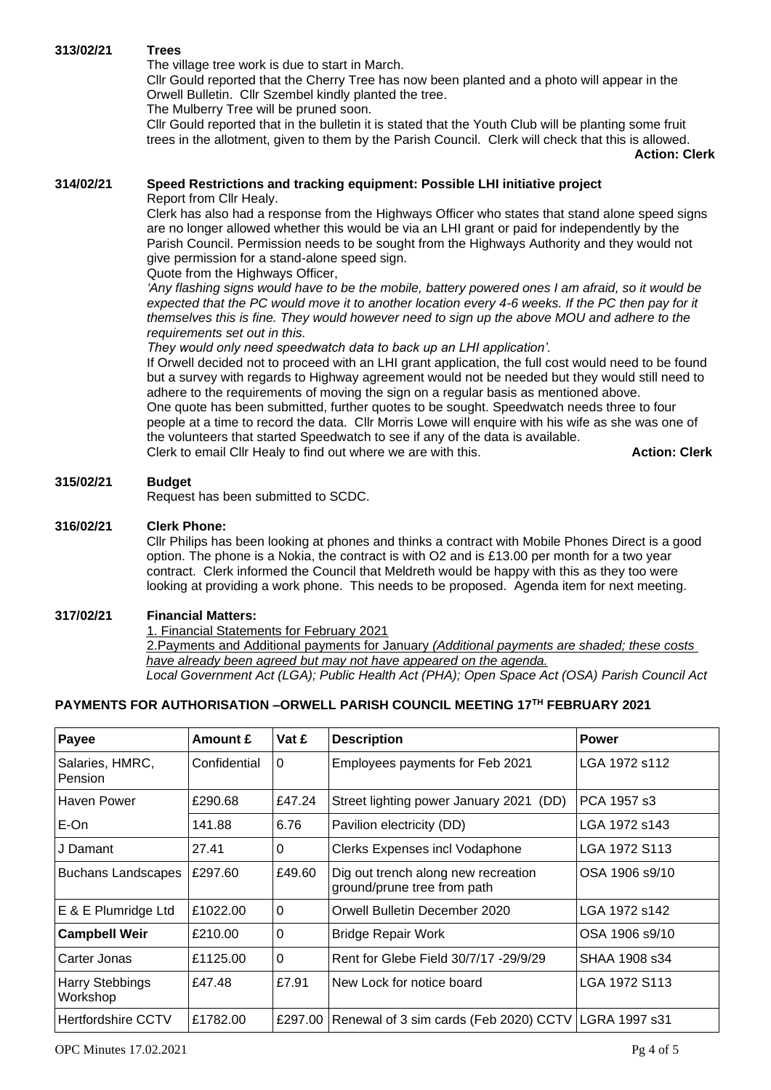## **313/02/21 Trees**

The village tree work is due to start in March.

Cllr Gould reported that the Cherry Tree has now been planted and a photo will appear in the Orwell Bulletin. Cllr Szembel kindly planted the tree.

The Mulberry Tree will be pruned soon.

Cllr Gould reported that in the bulletin it is stated that the Youth Club will be planting some fruit trees in the allotment, given to them by the Parish Council. Clerk will check that this is allowed.

 **Action: Clerk**

## **314/02/21 Speed Restrictions and tracking equipment: Possible LHI initiative project**

Report from Cllr Healy.

Clerk has also had a response from the Highways Officer who states that stand alone speed signs are no longer allowed whether this would be via an LHI grant or paid for independently by the Parish Council. Permission needs to be sought from the Highways Authority and they would not give permission for a stand-alone speed sign.

Quote from the Highways Officer,

*'Any flashing signs would have to be the mobile, battery powered ones I am afraid, so it would be expected that the PC would move it to another location every 4-6 weeks. If the PC then pay for it themselves this is fine. They would however need to sign up the above MOU and adhere to the requirements set out in this.*

*They would only need speedwatch data to back up an LHI application'.*

If Orwell decided not to proceed with an LHI grant application, the full cost would need to be found but a survey with regards to Highway agreement would not be needed but they would still need to adhere to the requirements of moving the sign on a regular basis as mentioned above. One quote has been submitted, further quotes to be sought. Speedwatch needs three to four people at a time to record the data. Cllr Morris Lowe will enquire with his wife as she was one of the volunteers that started Speedwatch to see if any of the data is available. Clerk to email Cllr Healy to find out where we are with this. **Action: Clerk** 

## **315/02/21 Budget**

Request has been submitted to SCDC.

## **316/02/21 Clerk Phone:**

Cllr Philips has been looking at phones and thinks a contract with Mobile Phones Direct is a good option. The phone is a Nokia, the contract is with O2 and is £13.00 per month for a two year contract. Clerk informed the Council that Meldreth would be happy with this as they too were looking at providing a work phone. This needs to be proposed. Agenda item for next meeting.

## **317/02/21 Financial Matters:**

1. Financial Statements for February 2021

2.Payments and Additional payments for January *(Additional payments are shaded; these costs have already been agreed but may not have appeared on the agenda. Local Government Act (LGA); Public Health Act (PHA); Open Space Act (OSA) Parish Council Act* 

## **PAYMENTS FOR AUTHORISATION –ORWELL PARISH COUNCIL MEETING 17TH FEBRUARY 2021**

| Payee                              | Amount £     | Vat £          | <b>Description</b>                                                 | <b>Power</b>   |  |  |  |
|------------------------------------|--------------|----------------|--------------------------------------------------------------------|----------------|--|--|--|
| Salaries, HMRC,<br>Pension         | Confidential | $\overline{0}$ | Employees payments for Feb 2021                                    | LGA 1972 s112  |  |  |  |
| Haven Power                        | £290.68      | £47.24         | Street lighting power January 2021<br>(DD)                         | PCA 1957 s3    |  |  |  |
| E-On                               | 141.88       | 6.76           | Pavilion electricity (DD)                                          | LGA 1972 s143  |  |  |  |
| J Damant                           | 27.41        | 0              | Clerks Expenses incl Vodaphone                                     | LGA 1972 S113  |  |  |  |
| <b>Buchans Landscapes</b>          | £297.60      | £49.60         | Dig out trench along new recreation<br>ground/prune tree from path | OSA 1906 s9/10 |  |  |  |
| E & E Plumridge Ltd                | £1022.00     | $\overline{0}$ | Orwell Bulletin December 2020                                      | LGA 1972 s142  |  |  |  |
| <b>Campbell Weir</b>               | £210.00      | $\Omega$       | <b>Bridge Repair Work</b>                                          | OSA 1906 s9/10 |  |  |  |
| Carter Jonas                       | £1125.00     | $\Omega$       | Rent for Glebe Field 30/7/17 -29/9/29                              | SHAA 1908 s34  |  |  |  |
| <b>Harry Stebbings</b><br>Workshop | £47.48       | £7.91          | New Lock for notice board                                          | LGA 1972 S113  |  |  |  |
| <b>Hertfordshire CCTV</b>          | £1782.00     |                | £297.00 Renewal of 3 sim cards (Feb 2020) CCTV LGRA 1997 s31       |                |  |  |  |